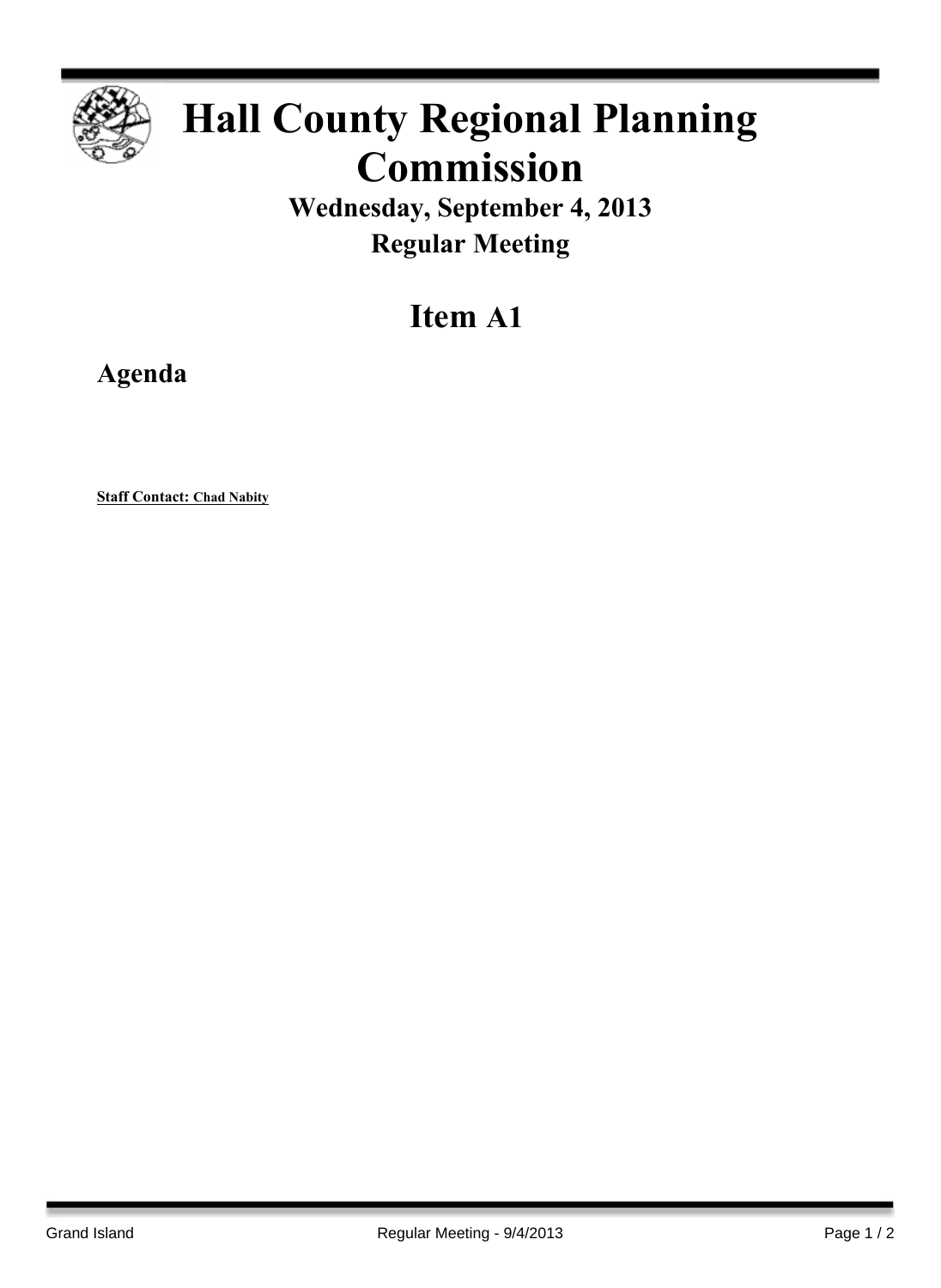

## **Hall County Regional Planning Commission**

**Wednesday, September 4, 2013 Regular Meeting**

## **Item A1**

**Agenda**

**Staff Contact: Chad Nabity**